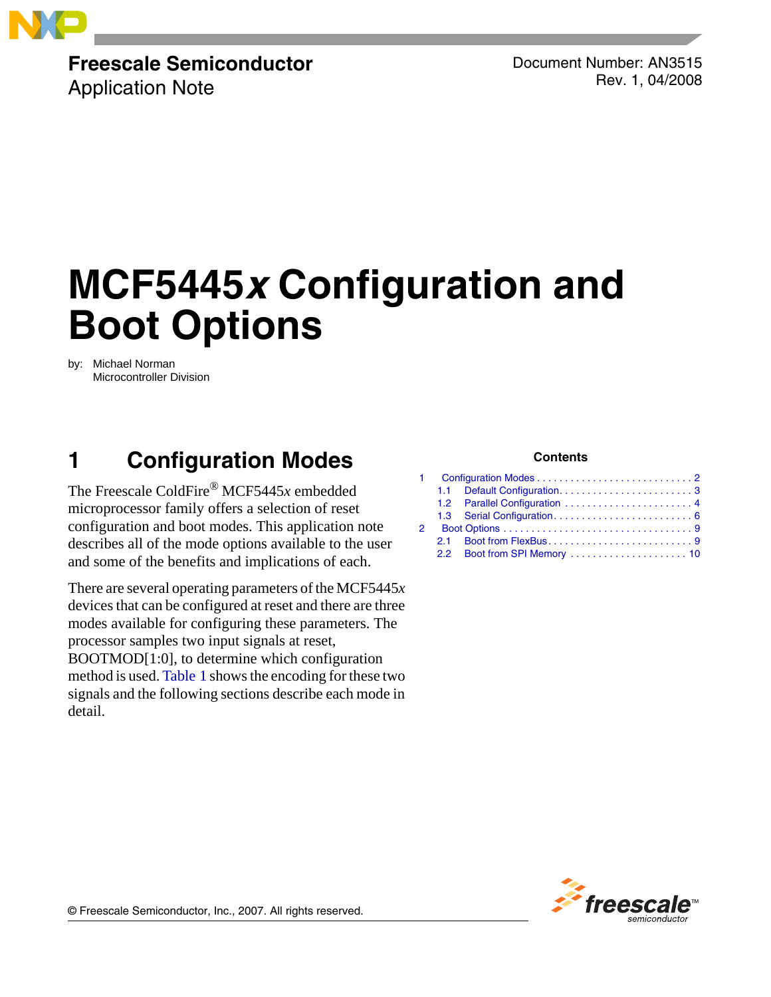

# **Freescale Semiconductor**

Application Note

Document Number: AN3515 Rev. 1, 04/2008

# **MCF5445***x* **Configuration and Boot Options**

by: Michael Norman Microcontroller Division

# <span id="page-0-0"></span>**1 Configuration Modes**

The Freescale ColdFire® MCF5445*x* embedded microprocessor family offers a selection of reset configuration and boot modes. This application note describes all of the mode options available to the user and some of the benefits and implications of each.

There are several operating parameters of the MCF5445*x* devices that can be configured at reset and there are three modes available for configuring these parameters. The processor samples two input signals at reset, BOOTMOD[1:0], to determine which configuration method is used. [Table 1](#page-1-0) shows the encoding for these two signals and the following sections describe each mode in detail.

### **Contents**

| $1 -$         |    |  |
|---------------|----|--|
|               |    |  |
|               |    |  |
|               |    |  |
| $\mathcal{P}$ |    |  |
|               | 21 |  |
|               |    |  |



© Freescale Semiconductor, Inc., 2007. All rights reserved.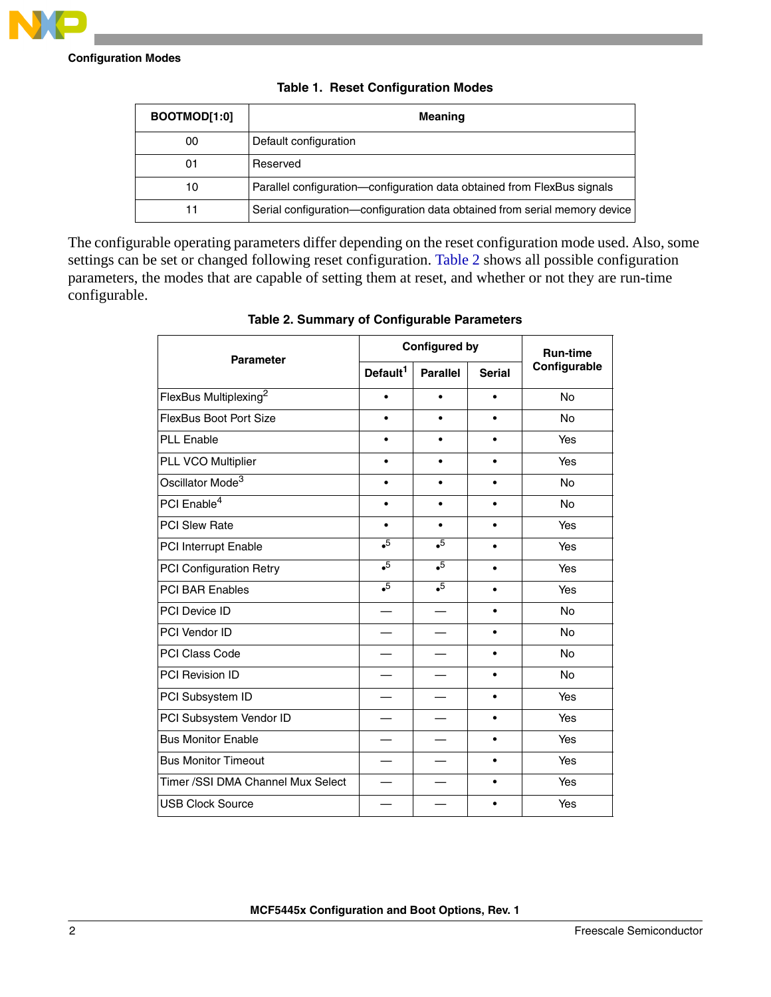

<span id="page-1-0"></span>

| BOOTMOD[1:0] | <b>Meaning</b>                                                             |
|--------------|----------------------------------------------------------------------------|
| 00           | Default configuration                                                      |
| 01           | Reserved                                                                   |
| 10           | Parallel configuration—configuration data obtained from FlexBus signals    |
| 11           | Serial configuration—configuration data obtained from serial memory device |

| <b>Table 1. Reset Configuration Modes</b> |  |  |  |  |
|-------------------------------------------|--|--|--|--|
|-------------------------------------------|--|--|--|--|

<span id="page-1-1"></span>The configurable operating parameters differ depending on the reset configuration mode used. Also, some settings can be set or changed following reset configuration. [Table 2](#page-1-1) shows all possible configuration parameters, the modes that are capable of setting them at reset, and whether or not they are run-time configurable.

| <b>Parameter</b>                  | <b>Configured by</b> |                 |               | <b>Run-time</b> |
|-----------------------------------|----------------------|-----------------|---------------|-----------------|
|                                   | Default <sup>1</sup> | <b>Parallel</b> | <b>Serial</b> | Configurable    |
| FlexBus Multiplexing <sup>2</sup> | $\bullet$            | $\bullet$       | $\bullet$     | <b>No</b>       |
| <b>FlexBus Boot Port Size</b>     | $\bullet$            | $\bullet$       | $\bullet$     | <b>No</b>       |
| <b>PLL Enable</b>                 | ٠                    | $\bullet$       | $\bullet$     | Yes             |
| PLL VCO Multiplier                | $\bullet$            | $\bullet$       | $\bullet$     | Yes             |
| Oscillator Mode <sup>3</sup>      | $\bullet$            | $\bullet$       | $\bullet$     | <b>No</b>       |
| PCI Enable <sup>4</sup>           | $\bullet$            | $\bullet$       | $\bullet$     | <b>No</b>       |
| <b>PCI Slew Rate</b>              | $\bullet$            | $\bullet$       | $\bullet$     | Yes             |
| PCI Interrupt Enable              | $\overline{5}$       | $\overline{5}$  | $\bullet$     | Yes             |
| <b>PCI Configuration Retry</b>    | $\overline{5}$       | $\overline{5}$  | $\bullet$     | Yes             |
| <b>PCI BAR Enables</b>            | $\overline{5}$       | $\bullet$       | $\bullet$     | Yes             |
| PCI Device ID                     |                      |                 | $\bullet$     | <b>No</b>       |
| PCI Vendor ID                     |                      |                 | $\bullet$     | <b>No</b>       |
| PCI Class Code                    |                      |                 | $\bullet$     | <b>No</b>       |
| <b>PCI Revision ID</b>            |                      |                 | $\bullet$     | No              |
| PCI Subsystem ID                  |                      |                 | $\bullet$     | Yes             |
| PCI Subsystem Vendor ID           |                      |                 | $\bullet$     | Yes             |
| <b>Bus Monitor Enable</b>         |                      |                 | $\bullet$     | Yes             |
| <b>Bus Monitor Timeout</b>        |                      |                 | $\bullet$     | Yes             |
| Timer /SSI DMA Channel Mux Select |                      |                 | $\bullet$     | Yes             |
| <b>USB Clock Source</b>           |                      |                 | $\bullet$     | Yes             |

## **Table 2. Summary of Configurable Parameters**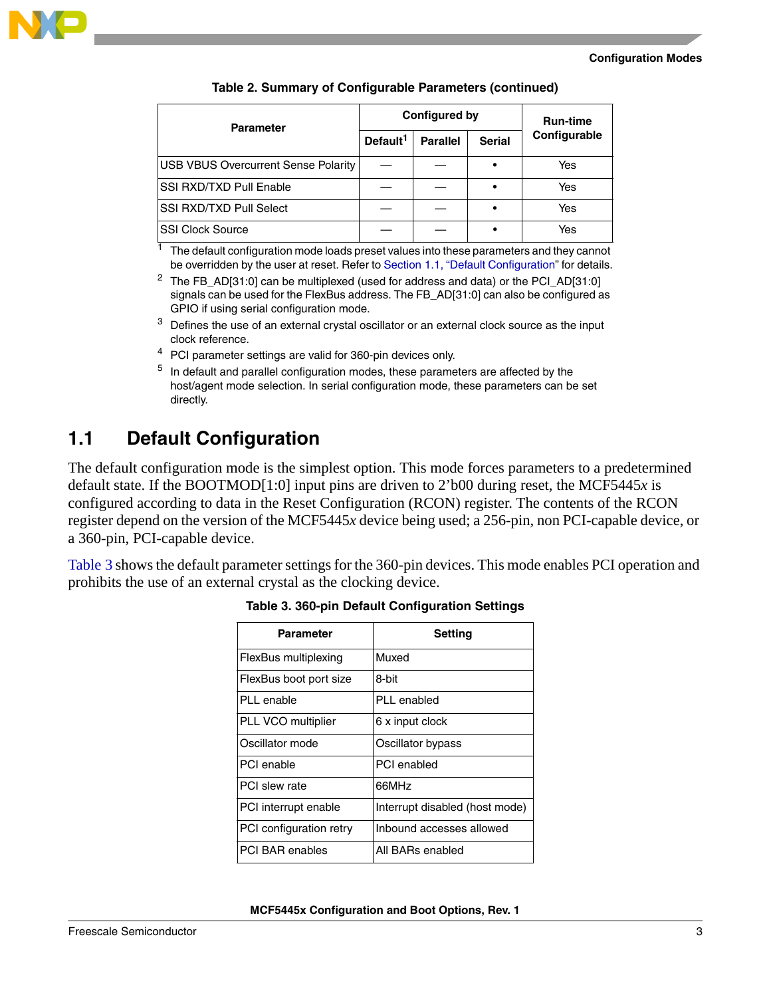



| <b>Parameter</b>                    | <b>Configured by</b> |                 |               | <b>Run-time</b> |
|-------------------------------------|----------------------|-----------------|---------------|-----------------|
|                                     | Default <sup>1</sup> | <b>Parallel</b> | <b>Serial</b> | Configurable    |
| USB VBUS Overcurrent Sense Polarity |                      |                 |               | Yes             |
| SSI RXD/TXD Pull Enable             |                      |                 |               | Yes             |
| <b>SSI RXD/TXD Pull Select</b>      |                      |                 | ٠             | Yes             |
| <b>SSI Clock Source</b>             |                      |                 |               | Yes             |

#### **Table 2. Summary of Configurable Parameters (continued)**

<sup>1</sup> The default configuration mode loads preset values into these parameters and they cannot be overridden by the user at reset. Refer to [Section 1.1, "Default Configuration](#page-2-0)" for details.

<sup>2</sup> The FB\_AD[31:0] can be multiplexed (used for address and data) or the PCI\_AD[31:0] signals can be used for the FlexBus address. The FB\_AD[31:0] can also be configured as GPIO if using serial configuration mode.

<sup>3</sup> Defines the use of an external crystal oscillator or an external clock source as the input clock reference.

- <sup>4</sup> PCI parameter settings are valid for 360-pin devices only.
- <sup>5</sup> In default and parallel configuration modes, these parameters are affected by the host/agent mode selection. In serial configuration mode, these parameters can be set directly.

## <span id="page-2-0"></span>**1.1 Default Configuration**

The default configuration mode is the simplest option. This mode forces parameters to a predetermined default state. If the BOOTMOD[1:0] input pins are driven to 2'b00 during reset, the MCF5445*x* is configured according to data in the Reset Configuration (RCON) register. The contents of the RCON register depend on the version of the MCF5445*x* device being used; a 256-pin, non PCI-capable device, or a 360-pin, PCI-capable device.

<span id="page-2-1"></span>[Table 3](#page-2-1) shows the default parameter settings for the 360-pin devices. This mode enables PCI operation and prohibits the use of an external crystal as the clocking device.

| <b>Parameter</b>        | <b>Setting</b>                 |
|-------------------------|--------------------------------|
| FlexBus multiplexing    | Muxed                          |
| FlexBus boot port size  | 8-bit                          |
| PLL enable              | PLL enabled                    |
| PLL VCO multiplier      | 6 x input clock                |
| Oscillator mode         | Oscillator bypass              |
| PCI enable              | PCI enabled                    |
| PCI slew rate           | 66MHz                          |
| PCI interrupt enable    | Interrupt disabled (host mode) |
| PCI configuration retry | Inbound accesses allowed       |
| <b>PCI BAR enables</b>  | All BARs enabled               |

## **Table 3. 360-pin Default Configuration Settings**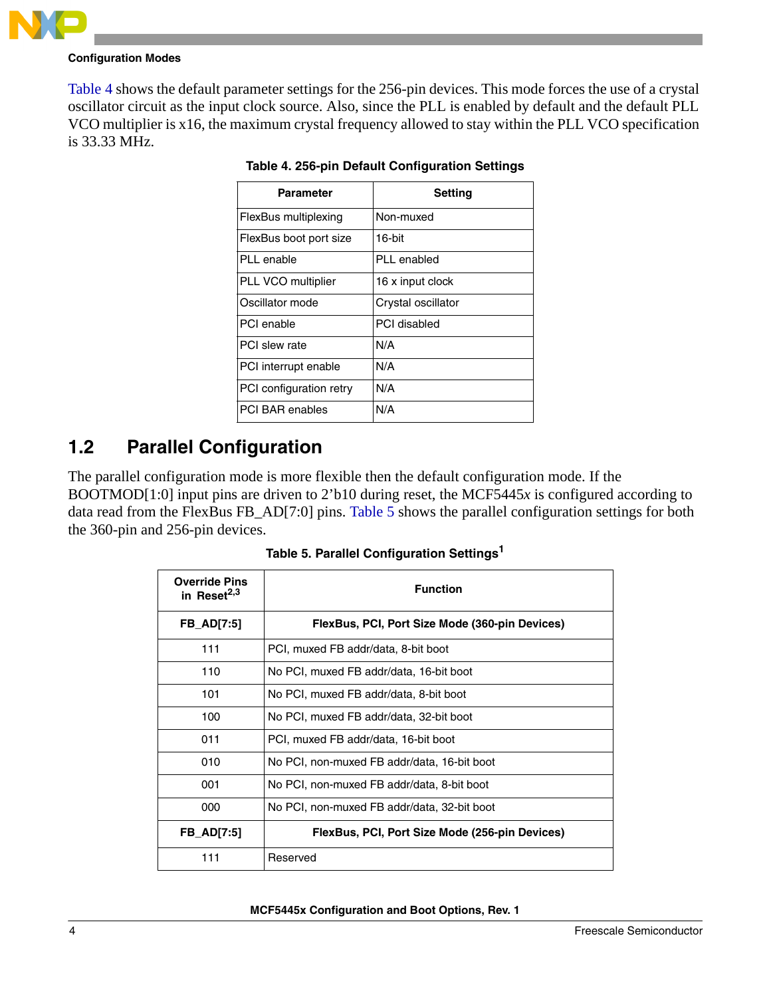

<span id="page-3-1"></span>[Table 4](#page-3-1) shows the default parameter settings for the 256-pin devices. This mode forces the use of a crystal oscillator circuit as the input clock source. Also, since the PLL is enabled by default and the default PLL VCO multiplier is x16, the maximum crystal frequency allowed to stay within the PLL VCO specification is 33.33 MHz.

| <b>Parameter</b>        | <b>Setting</b>     |
|-------------------------|--------------------|
| FlexBus multiplexing    | Non-muxed          |
| FlexBus boot port size  | 16-bit             |
| PLL enable              | PLL enabled        |
| PLL VCO multiplier      | 16 x input clock   |
| Oscillator mode         | Crystal oscillator |
| PCI enable              | PCI disabled       |
| PCI slew rate           | N/A                |
| PCI interrupt enable    | N/A                |
| PCI configuration retry | N/A                |
| PCI BAR enables         | N/A                |

**Table 4. 256-pin Default Configuration Settings**

## <span id="page-3-0"></span>**1.2 Parallel Configuration**

<span id="page-3-2"></span>The parallel configuration mode is more flexible then the default configuration mode. If the BOOTMOD[1:0] input pins are driven to 2'b10 during reset, the MCF5445*x* is configured according to data read from the FlexBus FB\_AD[7:0] pins. [Table 5](#page-3-2) shows the parallel configuration settings for both the 360-pin and 256-pin devices.

| <b>Override Pins</b><br>in Reset $^{2,3}$ | <b>Function</b>                                |  |  |
|-------------------------------------------|------------------------------------------------|--|--|
| <b>FB_AD[7:5]</b>                         | FlexBus, PCI, Port Size Mode (360-pin Devices) |  |  |
| 111                                       | PCI, muxed FB addr/data, 8-bit boot            |  |  |
| 110                                       | No PCI, muxed FB addr/data, 16-bit boot        |  |  |
| 101                                       | No PCI, muxed FB addr/data, 8-bit boot         |  |  |
| 100                                       | No PCI, muxed FB addr/data, 32-bit boot        |  |  |
| 011                                       | PCI, muxed FB addr/data, 16-bit boot           |  |  |
| 010                                       | No PCI, non-muxed FB addr/data, 16-bit boot    |  |  |
| 001                                       | No PCI, non-muxed FB addr/data, 8-bit boot     |  |  |
| 000                                       | No PCI, non-muxed FB addr/data, 32-bit boot    |  |  |
| <b>FB_AD[7:5]</b>                         | FlexBus, PCI, Port Size Mode (256-pin Devices) |  |  |
| 111                                       | Reserved                                       |  |  |

**Table 5. Parallel Configuration Settings<sup>1</sup>**

**MCF5445x Configuration and Boot Options, Rev. 1**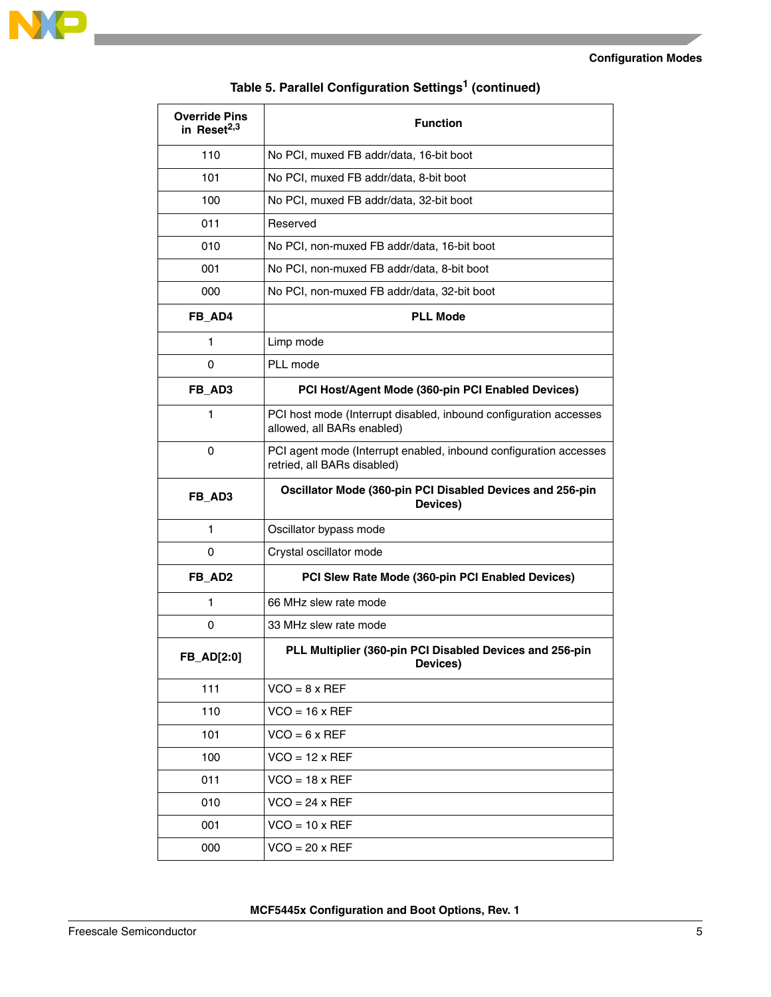| <b>Override Pins</b><br>in Reset $^{2,3}$ | <b>Function</b>                                                                                  |
|-------------------------------------------|--------------------------------------------------------------------------------------------------|
| 110                                       | No PCI, muxed FB addr/data, 16-bit boot                                                          |
| 101                                       | No PCI, muxed FB addr/data, 8-bit boot                                                           |
| 100                                       | No PCI, muxed FB addr/data, 32-bit boot                                                          |
| 011                                       | Reserved                                                                                         |
| 010                                       | No PCI, non-muxed FB addr/data, 16-bit boot                                                      |
| 001                                       | No PCI, non-muxed FB addr/data, 8-bit boot                                                       |
| 000                                       | No PCI, non-muxed FB addr/data, 32-bit boot                                                      |
| FB_AD4                                    | <b>PLL Mode</b>                                                                                  |
| 1                                         | Limp mode                                                                                        |
| 0                                         | PLL mode                                                                                         |
| FB_AD3                                    | PCI Host/Agent Mode (360-pin PCI Enabled Devices)                                                |
| 1                                         | PCI host mode (Interrupt disabled, inbound configuration accesses<br>allowed, all BARs enabled)  |
| 0                                         | PCI agent mode (Interrupt enabled, inbound configuration accesses<br>retried, all BARs disabled) |
| FB_AD3                                    | Oscillator Mode (360-pin PCI Disabled Devices and 256-pin<br>Devices)                            |
| 1                                         | Oscillator bypass mode                                                                           |
| 0                                         | Crystal oscillator mode                                                                          |
| FB_AD2                                    |                                                                                                  |
|                                           | PCI Slew Rate Mode (360-pin PCI Enabled Devices)                                                 |
| 1                                         | 66 MHz slew rate mode                                                                            |
| 0                                         | 33 MHz slew rate mode                                                                            |
| FB_AD[2:0]                                | PLL Multiplier (360-pin PCI Disabled Devices and 256-pin<br>Devices)                             |
| 111                                       | $VCO = 8 \times REF$                                                                             |
| 110                                       | $VCO = 16 \times REF$                                                                            |
| 101                                       | $VCO = 6 \times REF$                                                                             |
| 100                                       | $VCO = 12 \times REF$                                                                            |
| 011                                       | $VCO = 18 \times REF$                                                                            |
| 010                                       | $VCO = 24 \times REF$                                                                            |
| 001                                       | $VCO = 10 \times REF$                                                                            |

# **Table 5. Parallel Configuration Settings1 (continued)**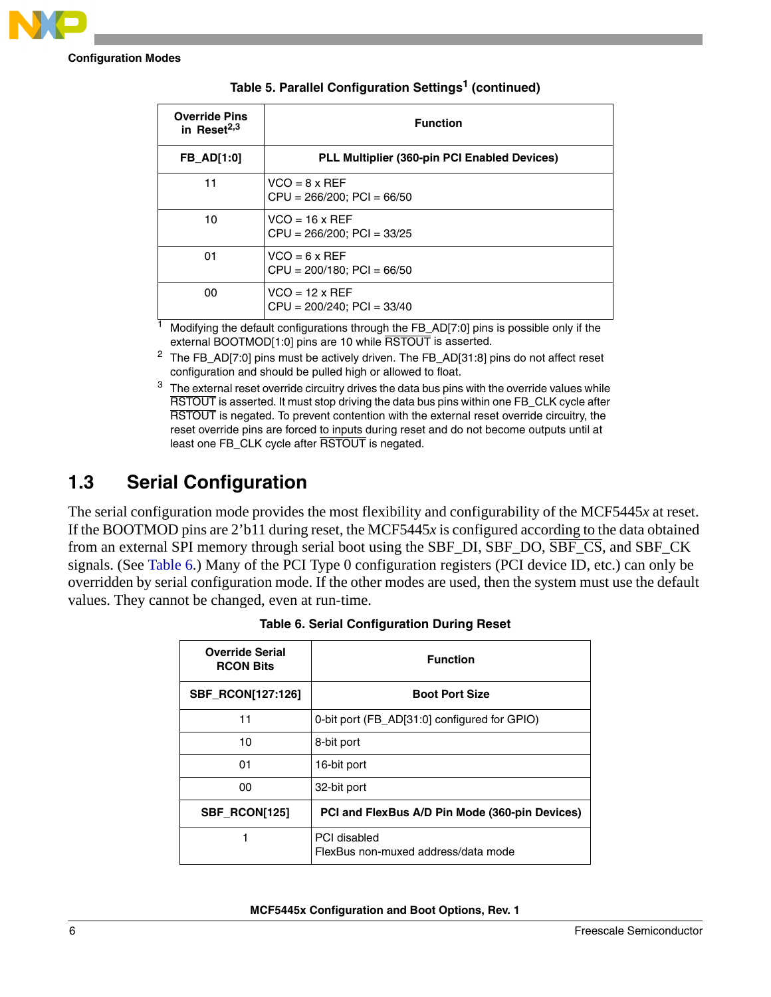

| <b>Override Pins</b><br>in Reset $^{2,3}$ | <b>Function</b>                                          |
|-------------------------------------------|----------------------------------------------------------|
| FB_AD[1:0]                                | PLL Multiplier (360-pin PCI Enabled Devices)             |
| 11                                        | $VCO = 8 \times REF$<br>$CPU = 266/200$ ; $PCI = 66/50$  |
| 10                                        | $VCO = 16 \times REF$<br>$CPU = 266/200$ : $PCI = 33/25$ |
| 01                                        | $VCO = 6 \times REF$<br>$CPU = 200/180$ : $PCI = 66/50$  |
| 00                                        | $VCO = 12 \times REF$<br>$CPU = 200/240$ ; $PCI = 33/40$ |

| Table 5. Parallel Configuration Settings <sup>1</sup> (continued) |  |
|-------------------------------------------------------------------|--|
|-------------------------------------------------------------------|--|

 $1$  Modifying the default configurations through the FB\_AD[7:0] pins is possible only if the external BOOTMOD[1:0] pins are 10 while RSTOUT is asserted.

 $2$  The FB\_AD[7:0] pins must be actively driven. The FB\_AD[31:8] pins do not affect reset configuration and should be pulled high or allowed to float.

 $3$  The external reset override circuitry drives the data bus pins with the override values while RSTOUT is asserted. It must stop driving the data bus pins within one FB\_CLK cycle after RSTOUT is negated. To prevent contention with the external reset override circuitry, the reset override pins are forced to inputs during reset and do not become outputs until at least one FB\_CLK cycle after RSTOUT is negated.

## <span id="page-5-0"></span>**1.3 Serial Configuration**

<span id="page-5-1"></span>The serial configuration mode provides the most flexibility and configurability of the MCF5445*x* at reset. If the BOOTMOD pins are 2'b11 during reset, the MCF5445*x* is configured according to the data obtained from an external SPI memory through serial boot using the SBF\_DI, SBF\_DO, SBF\_CS, and SBF\_CK signals. (See [Table 6](#page-5-1).) Many of the PCI Type 0 configuration registers (PCI device ID, etc.) can only be overridden by serial configuration mode. If the other modes are used, then the system must use the default values. They cannot be changed, even at run-time.

| <b>Override Serial</b><br><b>RCON Bits</b> | <b>Function</b>                                     |
|--------------------------------------------|-----------------------------------------------------|
| SBF_RCON[127:126]                          | <b>Boot Port Size</b>                               |
| 11                                         | 0-bit port (FB_AD[31:0] configured for GPIO)        |
| 10                                         | 8-bit port                                          |
| 01                                         | 16-bit port                                         |
| 00                                         | 32-bit port                                         |
| SBF RCON[125]                              | PCI and FlexBus A/D Pin Mode (360-pin Devices)      |
|                                            | PCI disabled<br>FlexBus non-muxed address/data mode |

**Table 6. Serial Configuration During Reset**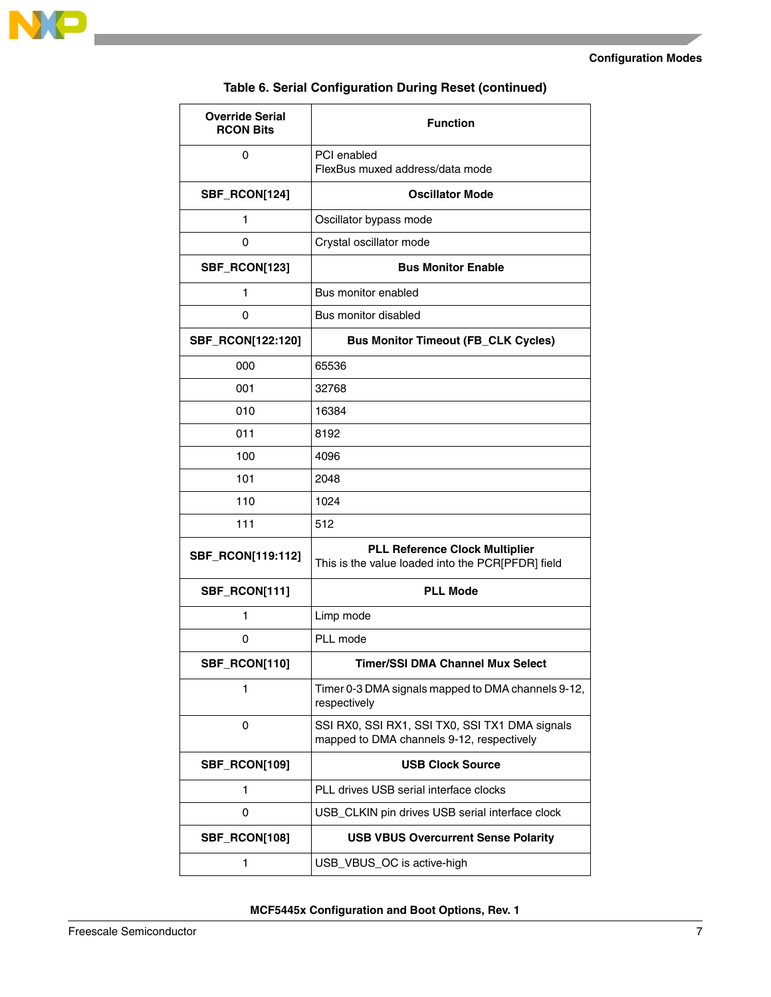

| <b>Override Serial</b><br><b>RCON Bits</b> | <b>Function</b>                                                                             |  |
|--------------------------------------------|---------------------------------------------------------------------------------------------|--|
| 0                                          | PCI enabled<br>FlexBus muxed address/data mode                                              |  |
| SBF_RCON[124]                              | <b>Oscillator Mode</b>                                                                      |  |
| 1                                          | Oscillator bypass mode                                                                      |  |
| 0                                          | Crystal oscillator mode                                                                     |  |
| SBF_RCON[123]                              | <b>Bus Monitor Enable</b>                                                                   |  |
| 1                                          | Bus monitor enabled                                                                         |  |
| 0                                          | Bus monitor disabled                                                                        |  |
| SBF_RCON[122:120]                          | <b>Bus Monitor Timeout (FB_CLK Cycles)</b>                                                  |  |
| 000                                        | 65536                                                                                       |  |
| 001                                        | 32768                                                                                       |  |
| 010                                        | 16384                                                                                       |  |
| 011                                        | 8192                                                                                        |  |
| 100                                        | 4096                                                                                        |  |
| 101                                        | 2048                                                                                        |  |
| 110                                        | 1024                                                                                        |  |
| 111                                        | 512                                                                                         |  |
| SBF_RCON[119:112]                          | <b>PLL Reference Clock Multiplier</b><br>This is the value loaded into the PCR[PFDR] field  |  |
| SBF_RCON[111]                              | <b>PLL Mode</b>                                                                             |  |
| 1                                          | Limp mode                                                                                   |  |
| 0                                          | PLL mode                                                                                    |  |
| SBF_RCON[110]                              | <b>Timer/SSI DMA Channel Mux Select</b>                                                     |  |
| 1                                          | Timer 0-3 DMA signals mapped to DMA channels 9-12,<br>respectively                          |  |
| 0                                          | SSI RX0, SSI RX1, SSI TX0, SSI TX1 DMA signals<br>mapped to DMA channels 9-12, respectively |  |
| SBF_RCON[109]                              | <b>USB Clock Source</b>                                                                     |  |
| 1                                          | PLL drives USB serial interface clocks                                                      |  |
| 0                                          | USB_CLKIN pin drives USB serial interface clock                                             |  |
| SBF_RCON[108]                              | <b>USB VBUS Overcurrent Sense Polarity</b>                                                  |  |
| 1                                          | USB_VBUS_OC is active-high                                                                  |  |

## **Table 6. Serial Configuration During Reset (continued)**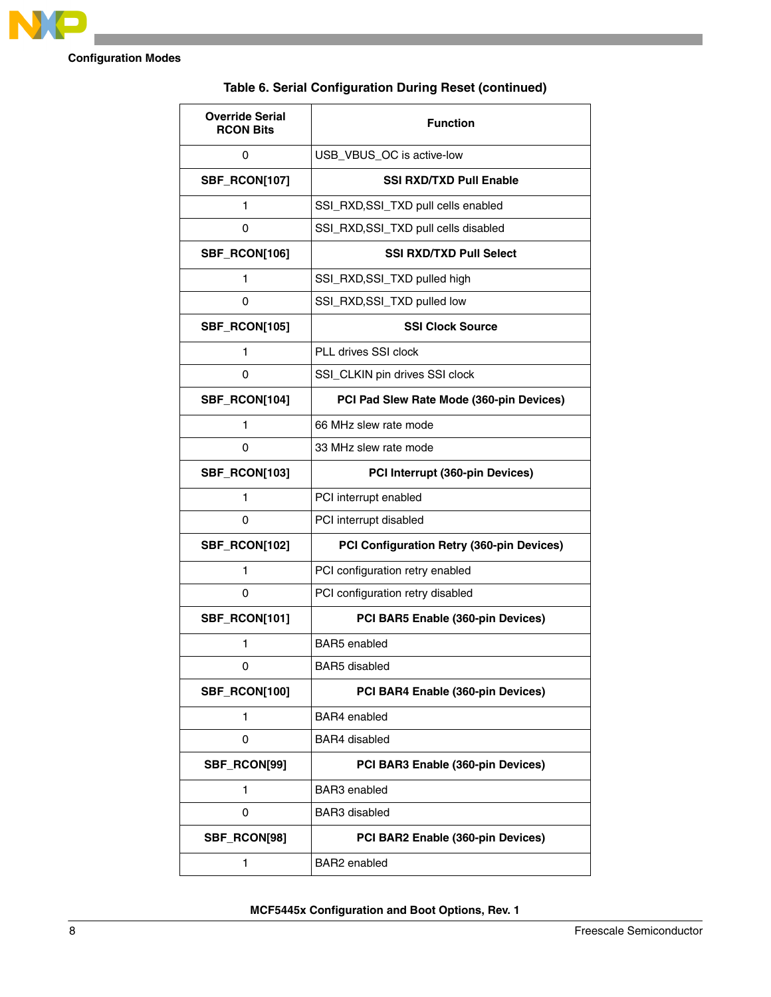

| <b>Override Serial</b><br><b>RCON Bits</b> | <b>Function</b>                           |
|--------------------------------------------|-------------------------------------------|
| 0                                          | USB_VBUS_OC is active-low                 |
| SBF_RCON[107]                              | <b>SSI RXD/TXD Pull Enable</b>            |
| 1                                          | SSI_RXD, SSI_TXD pull cells enabled       |
| 0                                          | SSI_RXD, SSI_TXD pull cells disabled      |
| SBF_RCON[106]                              | <b>SSI RXD/TXD Pull Select</b>            |
| 1                                          | SSI_RXD,SSI_TXD pulled high               |
| 0                                          | SSI_RXD,SSI_TXD pulled low                |
| SBF_RCON[105]                              | <b>SSI Clock Source</b>                   |
| 1                                          | PLL drives SSI clock                      |
| 0                                          | SSI_CLKIN pin drives SSI clock            |
| SBF_RCON[104]                              | PCI Pad Slew Rate Mode (360-pin Devices)  |
| 1                                          | 66 MHz slew rate mode                     |
| 0                                          | 33 MHz slew rate mode                     |
| SBF_RCON[103]                              | PCI Interrupt (360-pin Devices)           |
| 1                                          | PCI interrupt enabled                     |
| 0                                          | PCI interrupt disabled                    |
| <b>SBF_RCON[102]</b>                       | PCI Configuration Retry (360-pin Devices) |
| 1                                          | PCI configuration retry enabled           |
| 0                                          | PCI configuration retry disabled          |
| SBF_RCON[101]                              | PCI BAR5 Enable (360-pin Devices)         |
| 1                                          | <b>BAR5</b> enabled                       |
| 0                                          | <b>BAR5</b> disabled                      |
| SBF_RCON[100]                              | PCI BAR4 Enable (360-pin Devices)         |
| 1                                          | <b>BAR4</b> enabled                       |
| 0                                          | <b>BAR4</b> disabled                      |
| SBF_RCON[99]                               | PCI BAR3 Enable (360-pin Devices)         |
| 1                                          | <b>BAR3</b> enabled                       |
| 0                                          | <b>BAR3</b> disabled                      |
| SBF_RCON[98]                               | PCI BAR2 Enable (360-pin Devices)         |

## **Table 6. Serial Configuration During Reset (continued)**

**MCF5445x Configuration and Boot Options, Rev. 1**

1 BAR2 enabled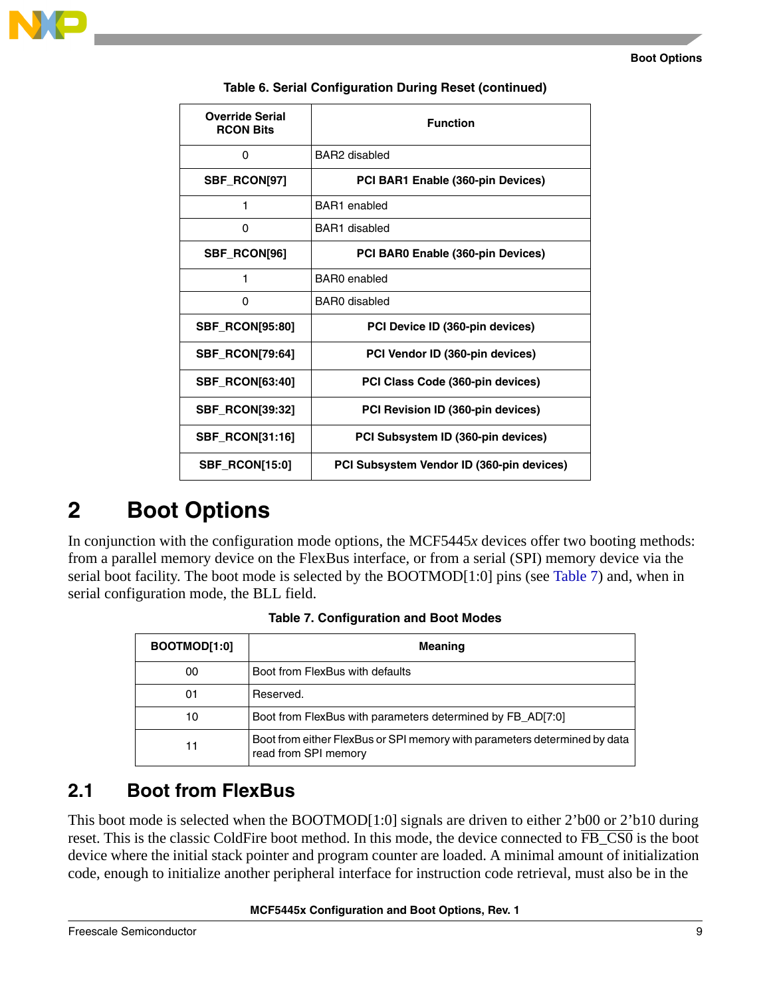| <b>Override Serial</b><br><b>RCON Bits</b> | <b>Function</b>                           |
|--------------------------------------------|-------------------------------------------|
| 0                                          | BAR2 disabled                             |
| SBF_RCON[97]                               | PCI BAR1 Enable (360-pin Devices)         |
| 1                                          | <b>BAR1</b> enabled                       |
| 0                                          | BAR1 disabled                             |
| SBF_RCON[96]                               | PCI BAR0 Enable (360-pin Devices)         |
| 1                                          | BAR0 enabled                              |
| 0                                          | BAR0 disabled                             |
| <b>SBF_RCON[95:80]</b>                     | PCI Device ID (360-pin devices)           |
| <b>SBF_RCON[79:64]</b>                     | PCI Vendor ID (360-pin devices)           |
| <b>SBF_RCON[63:40]</b>                     | PCI Class Code (360-pin devices)          |
| <b>SBF_RCON[39:32]</b>                     | PCI Revision ID (360-pin devices)         |
| <b>SBF_RCON[31:16]</b>                     | PCI Subsystem ID (360-pin devices)        |
| SBF_RCON[15:0]                             | PCI Subsystem Vendor ID (360-pin devices) |

### **Table 6. Serial Configuration During Reset (continued)**

# <span id="page-8-0"></span>**2 Boot Options**

In conjunction with the configuration mode options, the MCF5445*x* devices offer two booting methods: from a parallel memory device on the FlexBus interface, or from a serial (SPI) memory device via the serial boot facility. The boot mode is selected by the BOOTMOD[1:0] pins (see [Table 7](#page-8-2)) and, when in serial configuration mode, the BLL field.

<span id="page-8-2"></span>

| BOOTMOD[1:0] | <b>Meaning</b>                                                                                    |
|--------------|---------------------------------------------------------------------------------------------------|
| 00           | Boot from FlexBus with defaults                                                                   |
| 01           | Reserved.                                                                                         |
| 10           | Boot from FlexBus with parameters determined by FB AD[7:0]                                        |
| 11           | Boot from either FlexBus or SPI memory with parameters determined by data<br>read from SPI memory |

**Table 7. Configuration and Boot Modes**

## <span id="page-8-1"></span>**2.1 Boot from FlexBus**

This boot mode is selected when the BOOTMOD[1:0] signals are driven to either 2'b00 or 2'b10 during reset. This is the classic ColdFire boot method. In this mode, the device connected to  $\overline{\text{FB\_CS0}}$  is the boot device where the initial stack pointer and program counter are loaded. A minimal amount of initialization code, enough to initialize another peripheral interface for instruction code retrieval, must also be in the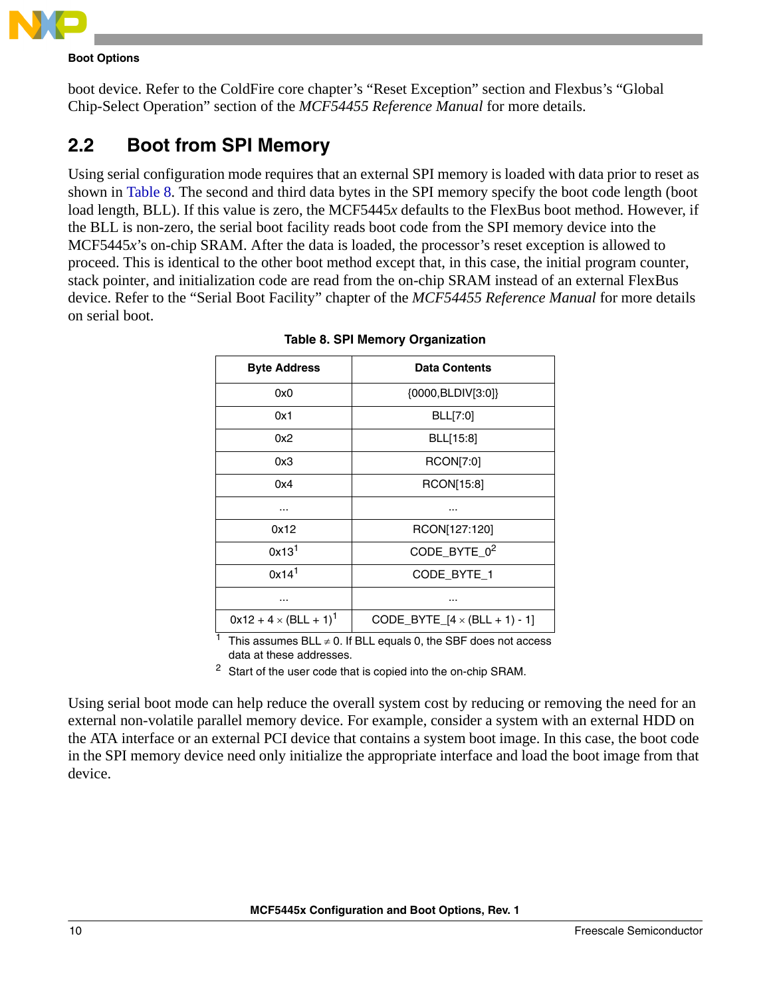

#### **Boot Options**

boot device. Refer to the ColdFire core chapter's "Reset Exception" section and Flexbus's "Global Chip-Select Operation" section of the *MCF54455 Reference Manual* for more details.

# <span id="page-9-0"></span>**2.2 Boot from SPI Memory**

Using serial configuration mode requires that an external SPI memory is loaded with data prior to reset as shown in [Table 8](#page-9-2). The second and third data bytes in the SPI memory specify the boot code length (boot load length, BLL). If this value is zero, the MCF5445*x* defaults to the FlexBus boot method. However, if the BLL is non-zero, the serial boot facility reads boot code from the SPI memory device into the MCF5445*x*'s on-chip SRAM. After the data is loaded, the processor's reset exception is allowed to proceed. This is identical to the other boot method except that, in this case, the initial program counter, stack pointer, and initialization code are read from the on-chip SRAM instead of an external FlexBus device. Refer to the "Serial Boot Facility" chapter of the *MCF54455 Reference Manual* for more details on serial boot.

<span id="page-9-2"></span>

| <b>Byte Address</b>             | <b>Data Contents</b>                  |
|---------------------------------|---------------------------------------|
| 0x0                             | ${0000, BLDIV[3:0]}$                  |
| 0x1                             | <b>BLL[7:0]</b>                       |
| 0x2                             | BLL[15:8]                             |
| 0x3                             | RCON[7:0]                             |
| 0x4                             | RCON[15:8]                            |
|                                 |                                       |
| 0x12                            | RCON[127:120]                         |
| 0x13 <sup>1</sup>               | CODE_BYTE_0 <sup>2</sup>              |
| 0x14 <sup>1</sup>               | CODE BYTE 1                           |
|                                 |                                       |
| $0x12 + 4 \times (BLL + 1)^{1}$ | CODE_BYTE_ $[4 \times (BLL + 1) - 1]$ |

**Table 8. SPI Memory Organization**

<span id="page-9-1"></span> $\frac{1}{1}$  This assumes BLL  $\neq$  0. If BLL equals 0, the SBF does not access data at these addresses.

 $2<sup>2</sup>$  Start of the user code that is copied into the on-chip SRAM.

Using serial boot mode can help reduce the overall system cost by reducing or removing the need for an external non-volatile parallel memory device. For example, consider a system with an external HDD on the ATA interface or an external PCI device that contains a system boot image. In this case, the boot code in the SPI memory device need only initialize the appropriate interface and load the boot image from that device.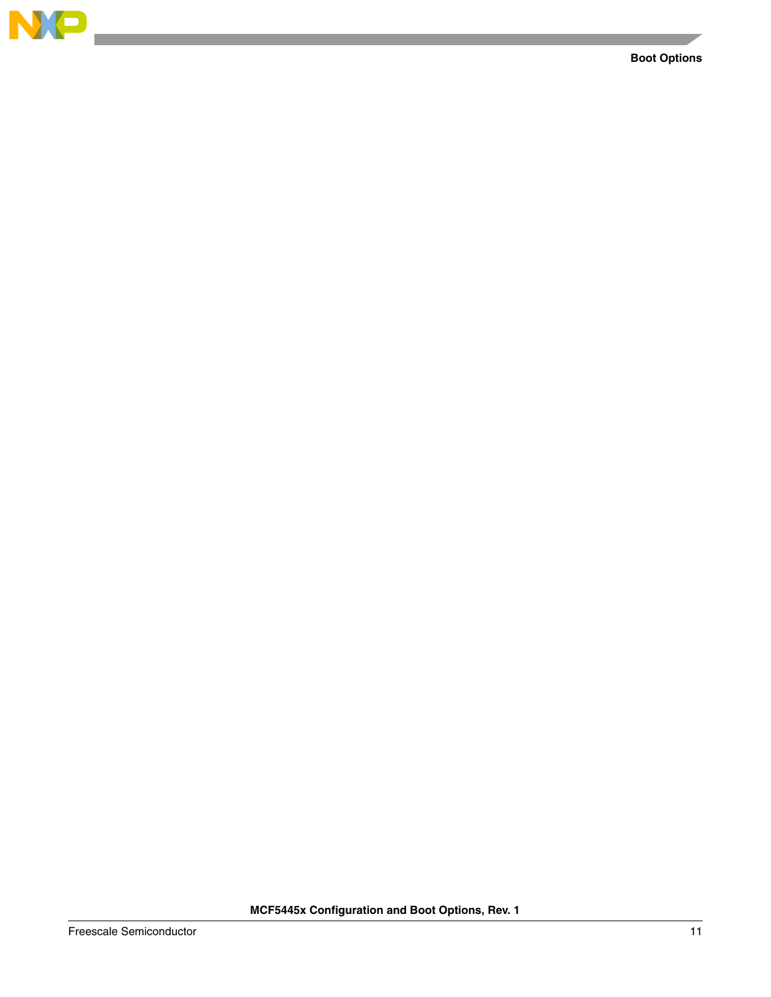

**Boot Options**